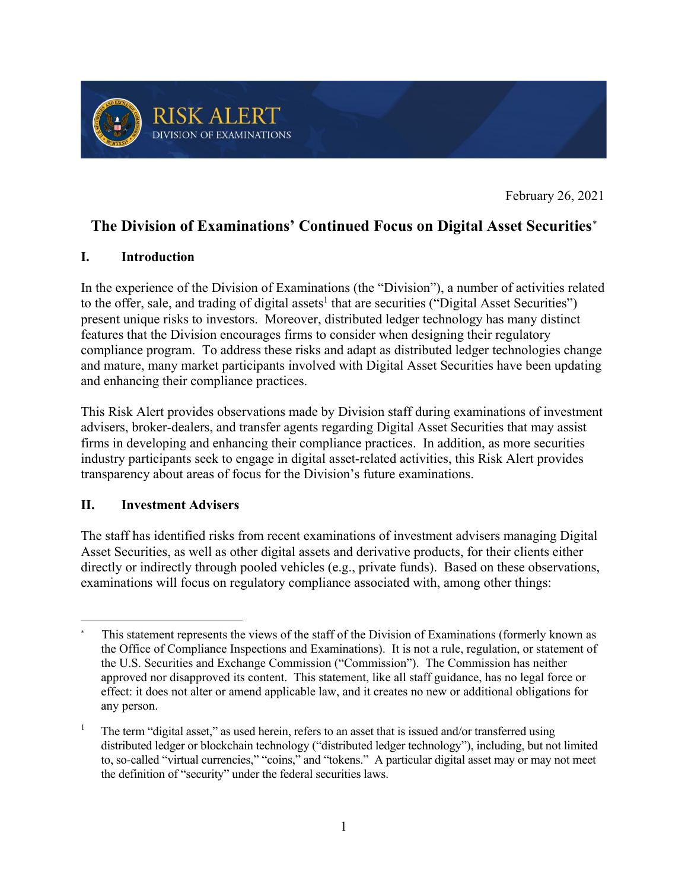

February 26, 2021

# **The Division of Examinations' Continued Focus on Digital Asset Securities***\**

### **I. Introduction**

In the experience of the Division of Examinations (the "Division"), a number of activities related to the offer, sale, and trading of digital assets<sup>1</sup> that are securities ("Digital Asset Securities") present unique risks to investors. Moreover, distributed ledger technology has many distinct features that the Division encourages firms to consider when designing their regulatory compliance program. To address these risks and adapt as distributed ledger technologies change and mature, many market participants involved with Digital Asset Securities have been updating and enhancing their compliance practices.

This Risk Alert provides observations made by Division staff during examinations of investment advisers, broker-dealers, and transfer agents regarding Digital Asset Securities that may assist firms in developing and enhancing their compliance practices. In addition, as more securities industry participants seek to engage in digital asset-related activities, this Risk Alert provides transparency about areas of focus for the Division's future examinations.

#### **II. Investment Advisers**

The staff has identified risks from recent examinations of investment advisers managing Digital Asset Securities, as well as other digital assets and derivative products, for their clients either directly or indirectly through pooled vehicles (e.g., private funds). Based on these observations, examinations will focus on regulatory compliance associated with, among other things:

 <sup>\*</sup> This statement represents the views of the staff of the Division of Examinations (formerly known as the Office of Compliance Inspections and Examinations). It is not a rule, regulation, or statement of the U.S. Securities and Exchange Commission ("Commission"). The Commission has neither approved nor disapproved its content. This statement, like all staff guidance, has no legal force or effect: it does not alter or amend applicable law, and it creates no new or additional obligations for any person.

<sup>1</sup> The term "digital asset," as used herein, refers to an asset that is issued and/or transferred using distributed ledger or blockchain technology ("distributed ledger technology"), including, but not limited to, so-called "virtual currencies," "coins," and "tokens." A particular digital asset may or may not meet the definition of "security" under the federal securities laws.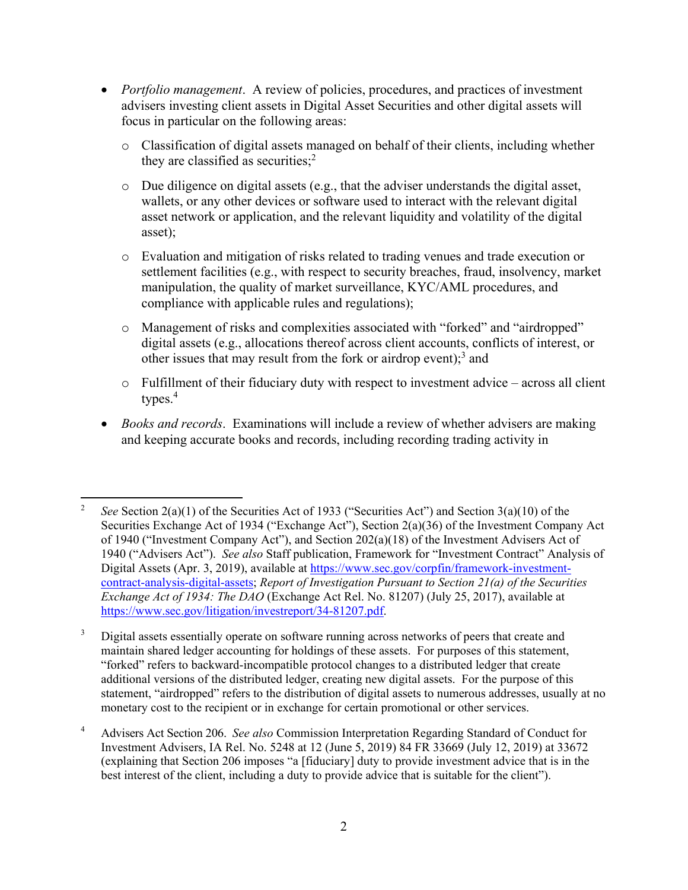- *Portfolio management*. A review of policies, procedures, and practices of investment advisers investing client assets in Digital Asset Securities and other digital assets will focus in particular on the following areas:
	- o Classification of digital assets managed on behalf of their clients, including whether they are classified as securities;<sup>2</sup>
	- o Due diligence on digital assets (e.g., that the adviser understands the digital asset, wallets, or any other devices or software used to interact with the relevant digital asset network or application, and the relevant liquidity and volatility of the digital asset);
	- o Evaluation and mitigation of risks related to trading venues and trade execution or settlement facilities (e.g., with respect to security breaches, fraud, insolvency, market manipulation, the quality of market surveillance, KYC/AML procedures, and compliance with applicable rules and regulations);
	- o Management of risks and complexities associated with "forked" and "airdropped" digital assets (e.g., allocations thereof across client accounts, conflicts of interest, or other issues that may result from the fork or airdrop event);<sup>3</sup> and
	- o Fulfillment of their fiduciary duty with respect to investment advice across all client types. $4$
- *Books and records*. Examinations will include a review of whether advisers are making and keeping accurate books and records, including recording trading activity in

 <sup>2</sup> *See* Section 2(a)(1) of the Securities Act of 1933 ("Securities Act") and Section 3(a)(10) of the Securities Exchange Act of 1934 ("Exchange Act"), Section 2(a)(36) of the Investment Company Act of 1940 ("Investment Company Act"), and Section  $202(a)(18)$  of the Investment Advisers Act of 1940 ("Advisers Act"). *See also* Staff publication, Framework for "Investment Contract" Analysis of Digital Assets (Apr. 3, 2019), available at [https://www.sec.gov/corpfin/framework-investment](https://www.sec.gov/corpfin/framework-investment-contract-analysis-digital-assets)[contract-analysis-digital-assets;](https://www.sec.gov/corpfin/framework-investment-contract-analysis-digital-assets) *Report of Investigation Pursuant to Section 21(a) of the Securities Exchange Act of 1934: The DAO* (Exchange Act Rel. No. 81207) (July 25, 2017), available at https://www.sec.gov/litigation/investreport/34-81207.pdf.

<sup>&</sup>lt;sup>3</sup> Digital assets essentially operate on software running across networks of peers that create and maintain shared ledger accounting for holdings of these assets. For purposes of this statement, "forked" refers to backward-incompatible protocol changes to a distributed ledger that create additional versions of the distributed ledger, creating new digital assets. For the purpose of this statement, "airdropped" refers to the distribution of digital assets to numerous addresses, usually at no monetary cost to the recipient or in exchange for certain promotional or other services.

<sup>4</sup> Advisers Act Section 206. *See also* Commission Interpretation Regarding Standard of Conduct for Investment Advisers, IA Rel. No. 5248 at 12 (June 5, 2019) 84 FR 33669 (July 12, 2019) at 33672 (explaining that Section 206 imposes "a [fiduciary] duty to provide investment advice that is in the best interest of the client, including a duty to provide advice that is suitable for the client").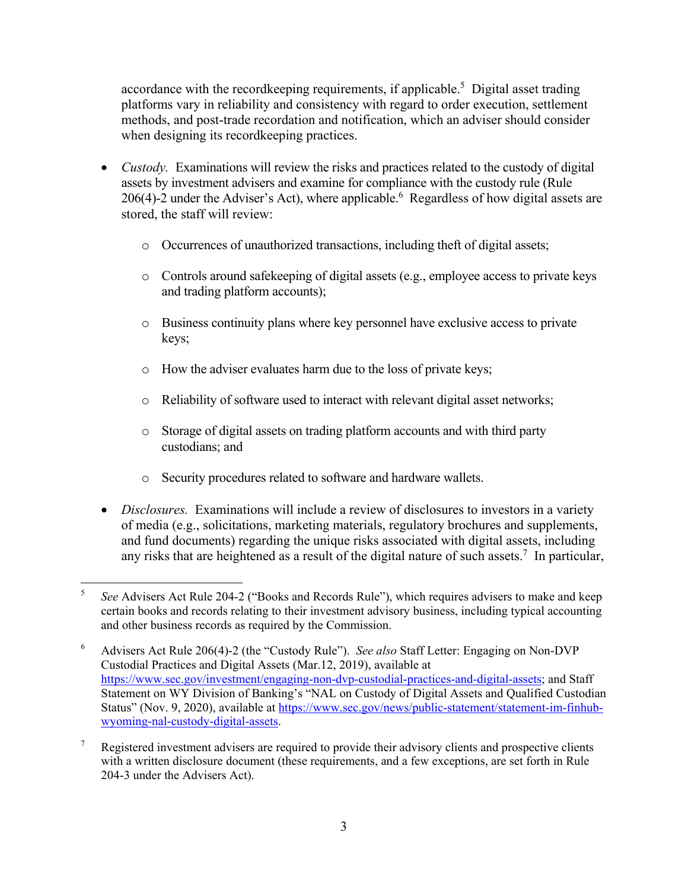accordance with the recordkeeping requirements, if applicable.<sup>5</sup> Digital asset trading platforms vary in reliability and consistency with regard to order execution, settlement methods, and post-trade recordation and notification, which an adviser should consider when designing its recordkeeping practices.

- *Custody*. Examinations will review the risks and practices related to the custody of digital assets by investment advisers and examine for compliance with the custody rule (Rule 206(4)-2 under the Adviser's Act), where applicable. Regardless of how digital assets are stored, the staff will review:
	- o Occurrences of unauthorized transactions, including theft of digital assets;
	- o Controls around safekeeping of digital assets (e.g., employee access to private keys and trading platform accounts);
	- o Business continuity plans where key personnel have exclusive access to private keys;
	- o How the adviser evaluates harm due to the loss of private keys;
	- o Reliability of software used to interact with relevant digital asset networks;
	- o Storage of digital assets on trading platform accounts and with third party custodians; and
	- o Security procedures related to software and hardware wallets.
- *Disclosures.* Examinations will include a review of disclosures to investors in a variety of media (e.g., solicitations, marketing materials, regulatory brochures and supplements, and fund documents) regarding the unique risks associated with digital assets, including any risks that are heightened as a result of the digital nature of such assets.<sup>7</sup> In particular,

 <sup>5</sup> *See* Advisers Act Rule 204-2 ("Books and Records Rule"), which requires advisers to make and keep certain books and records relating to their investment advisory business, including typical accounting and other business records as required by the Commission.

<sup>6</sup> Advisers Act Rule 206(4)-2 (the "Custody Rule"). *See also* Staff Letter: Engaging on Non-DVP Custodial Practices and Digital Assets (Mar.12, 2019), available at [https://www.sec.gov/investment/engaging-non-dvp-custodial-practices-and-digital-assets;](https://www.sec.gov/investment/engaging-non-dvp-custodial-practices-and-digital-assets) and Staff Statement on WY Division of Banking's "NAL on Custody of Digital Assets and Qualified Custodian Status" (Nov. 9, 2020), available at [https://www.sec.gov/news/public-statement/statement-im-finhub](https://www.sec.gov/news/public-statement/statement-im-finhub-wyoming-nal-custody-digital-assets)[wyoming-nal-custody-digital-assets.](https://www.sec.gov/news/public-statement/statement-im-finhub-wyoming-nal-custody-digital-assets)

 $7$  Registered investment advisers are required to provide their advisory clients and prospective clients with a written disclosure document (these requirements, and a few exceptions, are set forth in Rule 204-3 under the Advisers Act).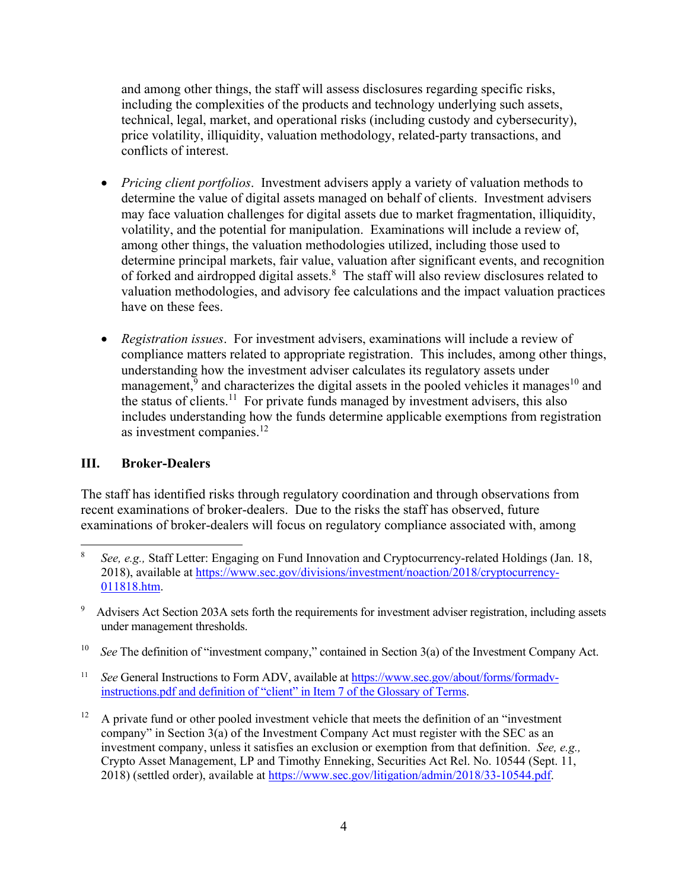and among other things, the staff will assess disclosures regarding specific risks, including the complexities of the products and technology underlying such assets, technical, legal, market, and operational risks (including custody and cybersecurity), price volatility, illiquidity, valuation methodology, related-party transactions, and conflicts of interest.

- *Pricing client portfolios*. Investment advisers apply a variety of valuation methods to determine the value of digital assets managed on behalf of clients. Investment advisers may face valuation challenges for digital assets due to market fragmentation, illiquidity, volatility, and the potential for manipulation. Examinations will include a review of, among other things, the valuation methodologies utilized, including those used to determine principal markets, fair value, valuation after significant events, and recognition of forked and airdropped digital assets.<sup>8</sup> The staff will also review disclosures related to valuation methodologies, and advisory fee calculations and the impact valuation practices have on these fees.
- *Registration issues*. For investment advisers, examinations will include a review of compliance matters related to appropriate registration. This includes, among other things, understanding how the investment adviser calculates its regulatory assets under management, $9$  and characterizes the digital assets in the pooled vehicles it manages<sup>10</sup> and the status of clients.<sup>11</sup> For private funds managed by investment advisers, this also includes understanding how the funds determine applicable exemptions from registration as investment companies.<sup>12</sup>

### **III. Broker-Dealers**

The staff has identified risks through regulatory coordination and through observations from recent examinations of broker-dealers. Due to the risks the staff has observed, future examinations of broker-dealers will focus on regulatory compliance associated with, among

<sup>10</sup> *See* The definition of "investment company," contained in Section 3(a) of the Investment Company Act.

<sup>11</sup> *See* General Instructions to Form ADV, available at [https://www.sec.gov/about/forms/formadv](https://www.sec.gov/about/forms/formadv-instructions.pdf)[instructions.pdf](https://www.sec.gov/about/forms/formadv-instructions.pdf) and definition of "client" in Item 7 of the Glossary of Terms.

 $12$  A private fund or other pooled investment vehicle that meets the definition of an "investment" company" in Section 3(a) of the Investment Company Act must register with the SEC as an investment company, unless it satisfies an exclusion or exemption from that definition. *See, e.g.,* Crypto Asset Management, LP and Timothy Enneking, Securities Act Rel. No. 10544 (Sept. 11, 2018) (settled order), available at [https://www.sec.gov/litigation/admin/2018/33-10544.pdf.](https://www.sec.gov/litigation/admin/2018/33-10544.pdf)

 <sup>8</sup> *See, e.g.,* Staff Letter: Engaging on Fund Innovation and Cryptocurrency-related Holdings (Jan. 18, 2018), available at [https://www.sec.gov/divisions/investment/noaction/2018/cryptocurrency-](https://www.sec.gov/divisions/investment/noaction/2018/cryptocurrency-011818.htm)[011818.htm.](https://www.sec.gov/divisions/investment/noaction/2018/cryptocurrency-011818.htm)

Advisers Act Section 203A sets forth the requirements for investment adviser registration, including assets under management thresholds.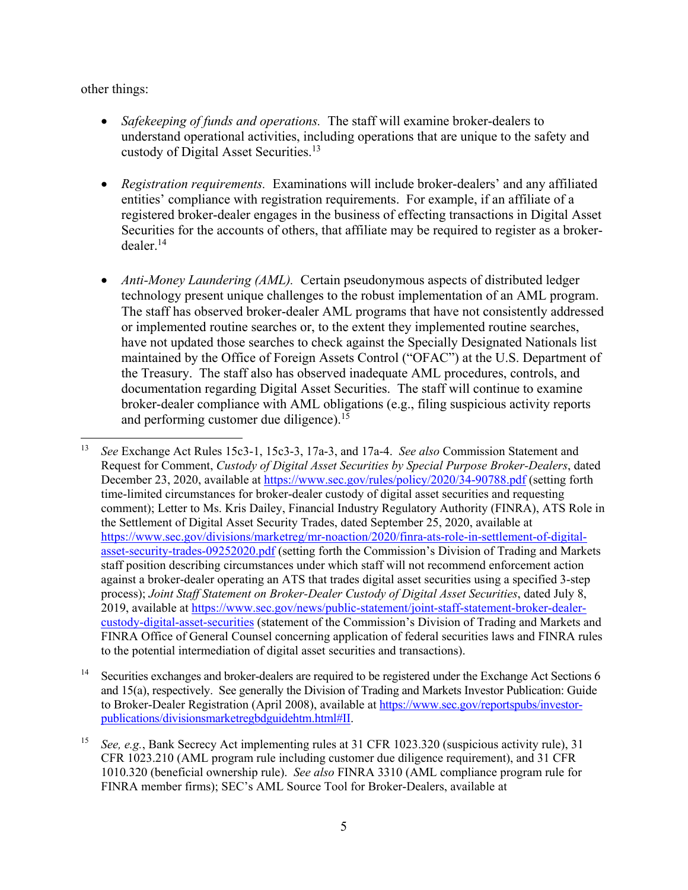other things:

- *Safekeeping of funds and operations.* The staff will examine broker-dealers to understand operational activities, including operations that are unique to the safety and custody of Digital Asset Securities. 13
- *Registration requirements.* Examinations will include broker-dealers' and any affiliated entities' compliance with registration requirements. For example, if an affiliate of a registered broker-dealer engages in the business of effecting transactions in Digital Asset Securities for the accounts of others, that affiliate may be required to register as a broker $dealer.<sup>14</sup>$
- *Anti-Money Laundering (AML).* Certain pseudonymous aspects of distributed ledger technology present unique challenges to the robust implementation of an AML program. The staff has observed broker-dealer AML programs that have not consistently addressed or implemented routine searches or, to the extent they implemented routine searches, have not updated those searches to check against the Specially Designated Nationals list maintained by the Office of Foreign Assets Control ("OFAC") at the U.S. Department of the Treasury. The staff also has observed inadequate AML procedures, controls, and documentation regarding Digital Asset Securities. The staff will continue to examine broker-dealer compliance with AML obligations (e.g., filing suspicious activity reports and performing customer due diligence).<sup>15</sup>

 <sup>13</sup> *See* Exchange Act Rules 15c3-1, 15c3-3, 17a-3, and 17a-4. *See also* Commission Statement and Request for Comment, *Custody of Digital Asset Securities by Special Purpose Broker-Dealers*, dated December 23, 2020, available at<https://www.sec.gov/rules/policy/2020/34-90788.pdf> (setting forth time-limited circumstances for broker-dealer custody of digital asset securities and requesting comment); Letter to Ms. Kris Dailey, Financial Industry Regulatory Authority (FINRA), ATS Role in the Settlement of Digital Asset Security Trades, dated September 25, 2020, available at [https://www.sec.gov/divisions/marketreg/mr-noaction/2020/finra-ats-role-in-settlement-of-digital](https://www.sec.gov/divisions/marketreg/mr-noaction/2020/finra-ats-role-in-settlement-of-digital-asset-security-trades-09252020.pdf)[asset-security-trades-09252020.pdf](https://www.sec.gov/divisions/marketreg/mr-noaction/2020/finra-ats-role-in-settlement-of-digital-asset-security-trades-09252020.pdf) (setting forth the Commission's Division of Trading and Markets staff position describing circumstances under which staff will not recommend enforcement action against a broker-dealer operating an ATS that trades digital asset securities using a specified 3-step process); *Joint Staff Statement on Broker-Dealer Custody of Digital Asset Securities*, dated July 8, 2019, available at [https://www.sec.gov/news/public-statement/joint-staff-statement-broker-dealer](https://www.sec.gov/news/public-statement/joint-staff-statement-broker-dealer-custody-digital-asset-securities)[custody-digital-asset-securities](https://www.sec.gov/news/public-statement/joint-staff-statement-broker-dealer-custody-digital-asset-securities) (statement of the Commission's Division of Trading and Markets and FINRA Office of General Counsel concerning application of federal securities laws and FINRA rules to the potential intermediation of digital asset securities and transactions).

<sup>&</sup>lt;sup>14</sup> Securities exchanges and broker-dealers are required to be registered under the Exchange Act Sections 6 and 15(a), respectively. See generally the Division of Trading and Markets Investor Publication: Guide to Broker-Dealer Registration (April 2008), available at [https://www.sec.gov/reportspubs/investor](https://www.sec.gov/reportspubs/investor-publications/divisionsmarketregbdguidehtm.html#II)[publications/divisionsmarketregbdguidehtm.html#II.](https://www.sec.gov/reportspubs/investor-publications/divisionsmarketregbdguidehtm.html#II)

<sup>15</sup> *See, e.g.*, Bank Secrecy Act implementing rules at 31 CFR 1023.320 (suspicious activity rule), 31 CFR 1023.210 (AML program rule including customer due diligence requirement), and 31 CFR 1010.320 (beneficial ownership rule). *See also* FINRA 3310 (AML compliance program rule for FINRA member firms); SEC's AML Source Tool for Broker-Dealers, available at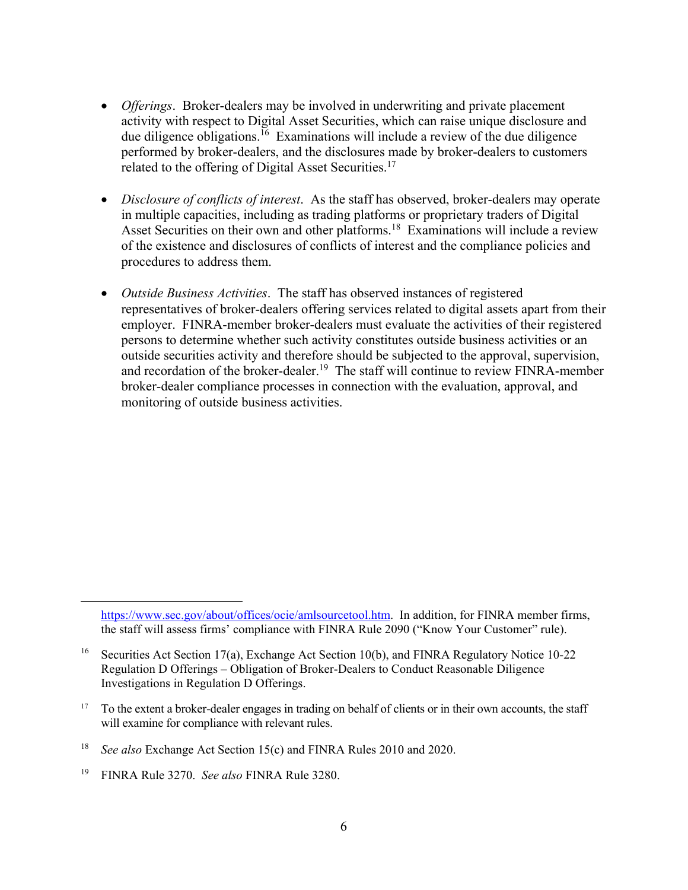- *Offerings*. Broker-dealers may be involved in underwriting and private placement activity with respect to Digital Asset Securities, which can raise unique disclosure and due diligence obligations.<sup>16</sup> Examinations will include a review of the due diligence performed by broker-dealers, and the disclosures made by broker-dealers to customers related to the offering of Digital Asset Securities.<sup>17</sup>
- *Disclosure of conflicts of interest*. As the staff has observed, broker-dealers may operate in multiple capacities, including as trading platforms or proprietary traders of Digital Asset Securities on their own and other platforms.<sup>18</sup> Examinations will include a review of the existence and disclosures of conflicts of interest and the compliance policies and procedures to address them.
- *Outside Business Activities*. The staff has observed instances of registered representatives of broker-dealers offering services related to digital assets apart from their employer. FINRA-member broker-dealers must evaluate the activities of their registered persons to determine whether such activity constitutes outside business activities or an outside securities activity and therefore should be subjected to the approval, supervision, and recordation of the broker-dealer.<sup>19</sup> The staff will continue to review FINRA-member broker-dealer compliance processes in connection with the evaluation, approval, and monitoring of outside business activities.

 $\overline{a}$ 

[https://www.sec.gov/about/offices/ocie/amlsourcetool.htm.](https://www.sec.gov/about/offices/ocie/amlsourcetool.htm) In addition, for FINRA member firms, the staff will assess firms' compliance with FINRA Rule 2090 ("Know Your Customer" rule).

<sup>&</sup>lt;sup>16</sup> Securities Act Section 17(a), Exchange Act Section 10(b), and FINRA Regulatory Notice 10-22 Regulation D Offerings – Obligation of Broker-Dealers to Conduct Reasonable Diligence Investigations in Regulation D Offerings.

<sup>&</sup>lt;sup>17</sup> To the extent a broker-dealer engages in trading on behalf of clients or in their own accounts, the staff will examine for compliance with relevant rules.

<sup>18</sup> *See also* Exchange Act Section 15(c) and FINRA Rules 2010 and 2020.

<sup>19</sup> FINRA Rule 3270. *See also* FINRA Rule 3280.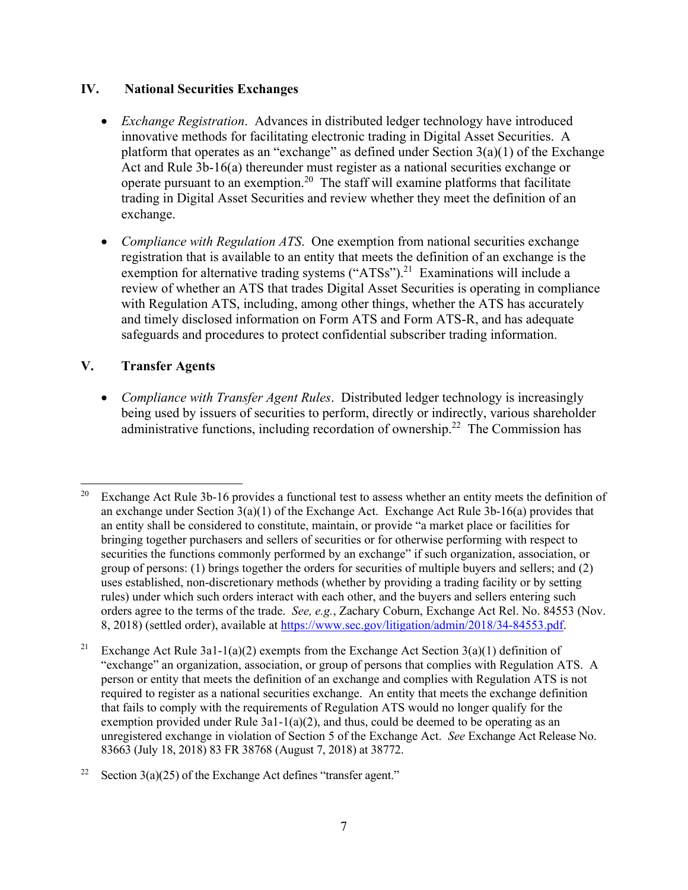### **IV. National Securities Exchanges**

- *Exchange Registration*. Advances in distributed ledger technology have introduced innovative methods for facilitating electronic trading in Digital Asset Securities. A platform that operates as an "exchange" as defined under Section  $3(a)(1)$  of the Exchange Act and Rule 3b-16(a) thereunder must register as a national securities exchange or operate pursuant to an exemption.<sup>20</sup> The staff will examine platforms that facilitate trading in Digital Asset Securities and review whether they meet the definition of an exchange.
- *Compliance with Regulation ATS*. One exemption from national securities exchange registration that is available to an entity that meets the definition of an exchange is the exemption for alternative trading systems ("ATSs").<sup>21</sup> Examinations will include a review of whether an ATS that trades Digital Asset Securities is operating in compliance with Regulation ATS, including, among other things, whether the ATS has accurately and timely disclosed information on Form ATS and Form ATS-R, and has adequate safeguards and procedures to protect confidential subscriber trading information.

## **V. Transfer Agents**

• *Compliance with Transfer Agent Rules*. Distributed ledger technology is increasingly being used by issuers of securities to perform, directly or indirectly, various shareholder administrative functions, including recordation of ownership.<sup>22</sup> The Commission has

<sup>&</sup>lt;sup>20</sup> Exchange Act Rule 3b-16 provides a functional test to assess whether an entity meets the definition of an exchange under Section  $3(a)(1)$  of the Exchange Act. Exchange Act Rule  $3b-16(a)$  provides that an entity shall be considered to constitute, maintain, or provide "a market place or facilities for bringing together purchasers and sellers of securities or for otherwise performing with respect to securities the functions commonly performed by an exchange" if such organization, association, or group of persons: (1) brings together the orders for securities of multiple buyers and sellers; and (2) uses established, non-discretionary methods (whether by providing a trading facility or by setting rules) under which such orders interact with each other, and the buyers and sellers entering such orders agree to the terms of the trade. *See, e.g.*, Zachary Coburn, Exchange Act Rel. No. 84553 (Nov. 8, 2018) (settled order), available at [https://www.sec.gov/litigation/admin/2018/34-84553.pdf.](https://www.sec.gov/litigation/admin/2018/34-84553.pdf)

<sup>&</sup>lt;sup>21</sup> Exchange Act Rule 3a1-1(a)(2) exempts from the Exchange Act Section 3(a)(1) definition of "exchange" an organization, association, or group of persons that complies with Regulation ATS. A person or entity that meets the definition of an exchange and complies with Regulation ATS is not required to register as a national securities exchange. An entity that meets the exchange definition that fails to comply with the requirements of Regulation ATS would no longer qualify for the exemption provided under Rule  $3a1-1(a)(2)$ , and thus, could be deemed to be operating as an unregistered exchange in violation of Section 5 of the Exchange Act. *See* Exchange Act Release No. 83663 (July 18, 2018) 83 FR 38768 (August 7, 2018) at 38772.

<sup>&</sup>lt;sup>22</sup> Section 3(a)(25) of the Exchange Act defines "transfer agent."